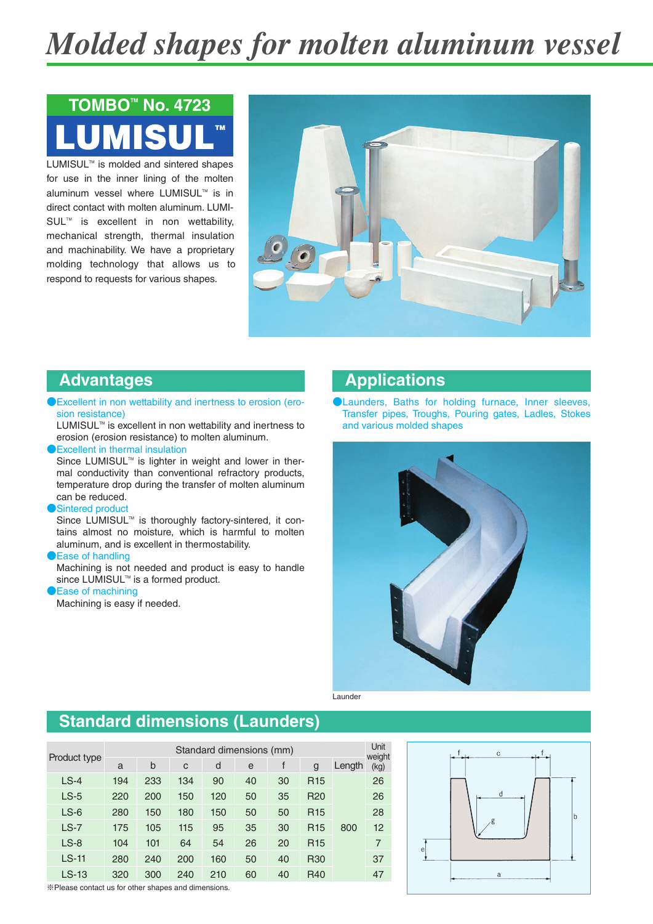# *Molded shapes for molten aluminum vessel*

# LUMISUL™ **TOMBO<sup>™</sup> No. 4723**

LUMISUL<sup>™</sup> is molded and sintered shapes for use in the inner lining of the molten aluminum vessel where LUMISUL™ is in direct contact with molten aluminum. LUMI-SUL<sup>™</sup> is excellent in non wettability, mechanical strength, thermal insulation and machinability. We have a proprietary molding technology that allows us to respond to requests for various shapes.



#### **Advantages**

●Excellent in non wettability and inertness to erosion (erosion resistance)

LUMISUL™ is excellent in non wettability and inertness to erosion (erosion resistance) to molten aluminum.

●Excellent in thermal insulation

Since LUMISUL™ is lighter in weight and lower in thermal conductivity than conventional refractory products, temperature drop during the transfer of molten aluminum can be reduced.

Sintered product

Since LUMISUL<sup>™</sup> is thoroughly factory-sintered, it contains almost no moisture, which is harmful to molten aluminum, and is excellent in thermostability.

**DEase of handling** 

Machining is not needed and product is easy to handle since LUMISUL™ is a formed product.

Ease of machining

Machining is easy if needed.

#### **Applications**

●Launders, Baths for holding furnace, Inner sleeves, Transfer pipes, Troughs, Pouring gates, Ladles, Stokes and various molded shapes



Launder

### **Standard dimensions (Launders)**

| Product type | Standard dimensions (mm) |     |     |     |    |    |                 |        |                |  |
|--------------|--------------------------|-----|-----|-----|----|----|-----------------|--------|----------------|--|
|              | a                        | b   | C   | d   | e  |    | g               | Length | weight<br>(kg) |  |
| $LS-4$       | 194                      | 233 | 134 | 90  | 40 | 30 | R <sub>15</sub> |        | 26             |  |
| $LS-5$       | 220                      | 200 | 150 | 120 | 50 | 35 | <b>R20</b>      |        | 26             |  |
| $LS-6$       | 280                      | 150 | 180 | 150 | 50 | 50 | R <sub>15</sub> |        | 28             |  |
| $LS-7$       | 175                      | 105 | 115 | 95  | 35 | 30 | R <sub>15</sub> | 800    | 12             |  |
| $LS-8$       | 104                      | 101 | 64  | 54  | 26 | 20 | R <sub>15</sub> |        | 7              |  |
| $LS-11$      | 280                      | 240 | 200 | 160 | 50 | 40 | <b>R30</b>      |        | 37             |  |
| $LS-13$      | 320                      | 300 | 240 | 210 | 60 | 40 | R40             |        | 47             |  |



※Please contact us for other shapes and dimensions.